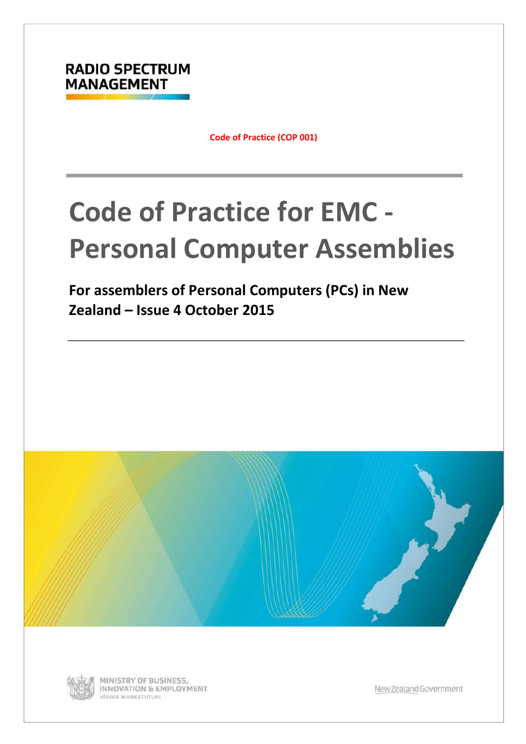

**Code of Practice (COP 001)**

# **Code of Practice for EMC - Personal Computer Assemblies**

**For assemblers of Personal Computers (PCs) in New Zealand – Issue 4 October 2015**





MINISTRY OF BUSINESS, INNOVATION & EMPLOYMENT HĪKINA WHAKATUTUKI

New Zealand Government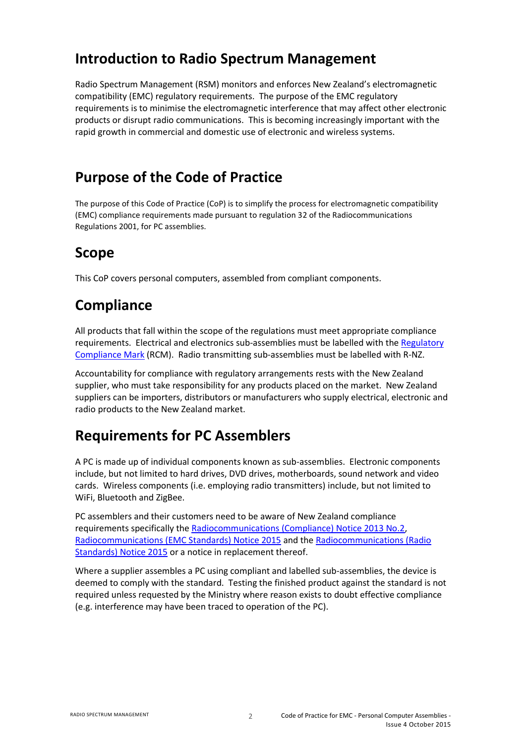#### **Introduction to Radio Spectrum Management**

Radio Spectrum Management (RSM) monitors and enforces New Zealand's electromagnetic compatibility (EMC) regulatory requirements. The purpose of the EMC regulatory requirements is to minimise the electromagnetic interference that may affect other electronic products or disrupt radio communications. This is becoming increasingly important with the rapid growth in commercial and domestic use of electronic and wireless systems.

### **Purpose of the Code of Practice**

The purpose of this Code of Practice (CoP) is to simplify the process for electromagnetic compatibility (EMC) compliance requirements made pursuant to regulation 32 of the Radiocommunications Regulations 2001, for PC assemblies.

## **Scope**

This CoP covers personal computers, assembled from compliant components.

## **Compliance**

All products that fall within the scope of the regulations must meet appropriate compliance requirements. Electrical and electronics sub-assemblies must be labelled with the [Regulatory](https://www.rsm.govt.nz/business-individuals/supplier-compliance/steps/step-7/)  [Compliance Mark](https://www.rsm.govt.nz/business-individuals/supplier-compliance/steps/step-7/) (RCM). Radio transmitting sub-assemblies must be labelled with R-NZ.

Accountability for compliance with regulatory arrangements rests with the New Zealand supplier, who must take responsibility for any products placed on the market. New Zealand suppliers can be importers, distributors or manufacturers who supply electrical, electronic and radio products to the New Zealand market.

## **Requirements for PC Assemblers**

A PC is made up of individual components known as sub-assemblies. Electronic components include, but not limited to hard drives, DVD drives, motherboards, sound network and video cards. Wireless components (i.e. employing radio transmitters) include, but not limited to WiFi, Bluetooth and ZigBee.

PC assemblers and their customers need to be aware of New Zealand compliance requirements specifically th[e Radiocommunications \(Compliance\) Notice 2013 No.2,](https://gazette.govt.nz/notice/id/2013-go4980) [Radiocommunications \(EMC Standards\) Notice 2015](https://gazette.govt.nz/notice/id/2015-go4671) and the [Radiocommunications \(Radio](https://gazette.govt.nz/notice/id/2015-go694)  [Standards\) Notice 2015](https://gazette.govt.nz/notice/id/2015-go694) or a notice in replacement thereof.

Where a supplier assembles a PC using compliant and labelled sub-assemblies, the device is deemed to comply with the standard. Testing the finished product against the standard is not required unless requested by the Ministry where reason exists to doubt effective compliance (e.g. interference may have been traced to operation of the PC).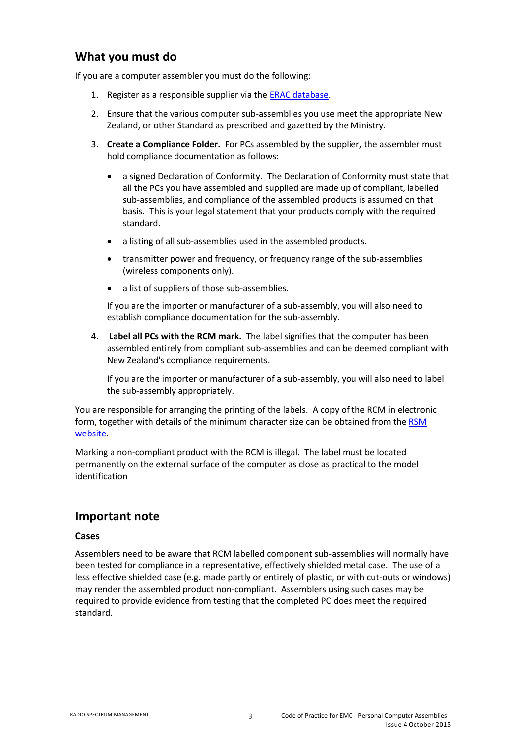#### **What you must do**

If you are a computer assembler you must do the following:

- 1. Register as a responsible supplier via the [ERAC database.](https://equipment.erac.gov.au/Registration/)
- 2. Ensure that the various computer sub-assemblies you use meet the appropriate New Zealand, or other Standard as prescribed and gazetted by the Ministry.
- 3. **Create a Compliance Folder.** For PCs assembled by the supplier, the assembler must hold compliance documentation as follows:
	- a signed Declaration of Conformity. The Declaration of Conformity must state that all the PCs you have assembled and supplied are made up of compliant, labelled sub-assemblies, and compliance of the assembled products is assumed on that basis. This is your legal statement that your products comply with the required standard.
	- a listing of all sub-assemblies used in the assembled products.
	- transmitter power and frequency, or frequency range of the sub-assemblies (wireless components only).
	- a list of suppliers of those sub-assemblies.

If you are the importer or manufacturer of a sub-assembly, you will also need to establish compliance documentation for the sub-assembly.

4. **Label all PCs with the RCM mark.** The label signifies that the computer has been assembled entirely from compliant sub-assemblies and can be deemed compliant with New Zealand's compliance requirements.

If you are the importer or manufacturer of a sub-assembly, you will also need to label the sub-assembly appropriately.

You are responsible for arranging the printing of the labels. A copy of the RCM in electronic form, together with details of the minimum character size can be obtained from th[e RSM](https://www.rsm.govt.nz/business-individuals/supplier-compliance/steps/step-7/)  [website.](https://www.rsm.govt.nz/business-individuals/supplier-compliance/steps/step-7/)

Marking a non-compliant product with the RCM is illegal. The label must be located permanently on the external surface of the computer as close as practical to the model identification

#### **Important note**

#### **Cases**

Assemblers need to be aware that RCM labelled component sub-assemblies will normally have been tested for compliance in a representative, effectively shielded metal case. The use of a less effective shielded case (e.g. made partly or entirely of plastic, or with cut-outs or windows) may render the assembled product non-compliant. Assemblers using such cases may be required to provide evidence from testing that the completed PC does meet the required standard.